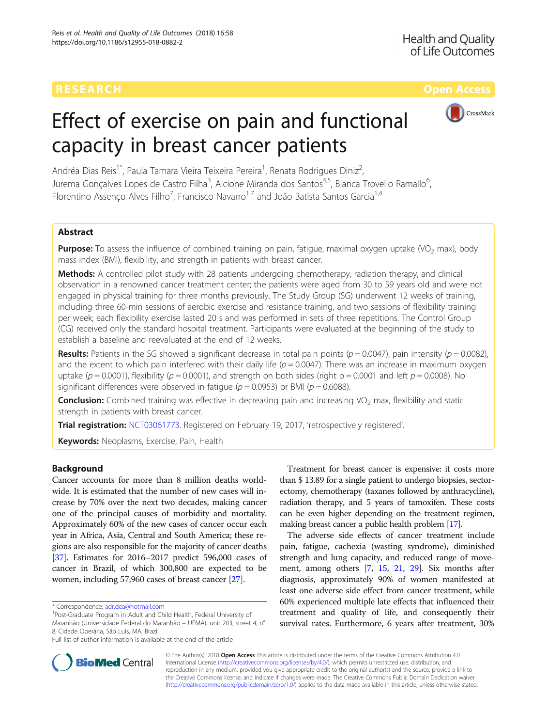

# Effect of exercise on pain and functional capacity in breast cancer patients

Andréa Dias Reis<sup>1\*</sup>, Paula Tamara Vieira Teixeira Pereira<sup>1</sup>, Renata Rodrigues Diniz<sup>2</sup> , Jurema Gonçalves Lopes de Castro Filha<sup>3</sup>, Alcione Miranda dos Santos<sup>4,5</sup>, Bianca Trovello Ramallo<sup>6</sup> , Florentino Assenço Alves Filho<sup>7</sup>, Francisco Navarro<sup>1,7</sup> and João Batista Santos Garcia<sup>1,4</sup>

### Abstract

**Purpose:** To assess the influence of combined training on pain, fatigue, maximal oxygen uptake (VO<sub>2</sub> max), body mass index (BMI), flexibility, and strength in patients with breast cancer.

Methods: A controlled pilot study with 28 patients undergoing chemotherapy, radiation therapy, and clinical observation in a renowned cancer treatment center; the patients were aged from 30 to 59 years old and were not engaged in physical training for three months previously. The Study Group (SG) underwent 12 weeks of training, including three 60-min sessions of aerobic exercise and resistance training, and two sessions of flexibility training per week; each flexibility exercise lasted 20 s and was performed in sets of three repetitions. The Control Group (CG) received only the standard hospital treatment. Participants were evaluated at the beginning of the study to establish a baseline and reevaluated at the end of 12 weeks.

**Results:** Patients in the SG showed a significant decrease in total pain points ( $p = 0.0047$ ), pain intensity ( $p = 0.0082$ ), and the extent to which pain interfered with their daily life ( $p = 0.0047$ ). There was an increase in maximum oxygen uptake ( $p = 0.0001$ ), flexibility ( $p = 0.0001$ ), and strength on both sides (right  $p = 0.0001$  and left  $p = 0.0008$ ). No significant differences were observed in fatigue ( $p = 0.0953$ ) or BMI ( $p = 0.6088$ ).

**Conclusion:** Combined training was effective in decreasing pain and increasing VO<sub>2</sub> max, flexibility and static strength in patients with breast cancer.

Trial registration: [NCT03061773](https://clinicaltrials.gov/ct2/show/NCT03061773). Registered on February 19, 2017, 'retrospectively registered'.

Keywords: Neoplasms, Exercise, Pain, Health

#### Background

Cancer accounts for more than 8 million deaths worldwide. It is estimated that the number of new cases will increase by 70% over the next two decades, making cancer one of the principal causes of morbidity and mortality. Approximately 60% of the new cases of cancer occur each year in Africa, Asia, Central and South America; these regions are also responsible for the majority of cancer deaths [[37](#page-9-0)]. Estimates for 2016–2017 predict 596,000 cases of cancer in Brazil, of which 300,800 are expected to be women, including 57,960 cases of breast cancer [\[27\]](#page-9-0).

Treatment for breast cancer is expensive: it costs more than \$ 13.89 for a single patient to undergo biopsies, sectorectomy, chemotherapy (taxanes followed by anthracycline), radiation therapy, and 5 years of tamoxifen. These costs can be even higher depending on the treatment regimen, making breast cancer a public health problem [\[17\]](#page-8-0).

The adverse side effects of cancer treatment include pain, fatigue, cachexia (wasting syndrome), diminished strength and lung capacity, and reduced range of movement, among others [[7](#page-8-0), [15,](#page-8-0) [21,](#page-9-0) [29](#page-9-0)]. Six months after diagnosis, approximately 90% of women manifested at least one adverse side effect from cancer treatment, while 60% experienced multiple late effects that influenced their treatment and quality of life, and consequently their survival rates. Furthermore, 6 years after treatment, 30%



© The Author(s). 2018 Open Access This article is distributed under the terms of the Creative Commons Attribution 4.0 International License [\(http://creativecommons.org/licenses/by/4.0/](http://creativecommons.org/licenses/by/4.0/)), which permits unrestricted use, distribution, and reproduction in any medium, provided you give appropriate credit to the original author(s) and the source, provide a link to the Creative Commons license, and indicate if changes were made. The Creative Commons Public Domain Dedication waiver [\(http://creativecommons.org/publicdomain/zero/1.0/](http://creativecommons.org/publicdomain/zero/1.0/)) applies to the data made available in this article, unless otherwise stated.

<sup>\*</sup> Correspondence: [adr.dea@hotmail.com](mailto:adr.dea@hotmail.com) <sup>1</sup>

<sup>&</sup>lt;sup>1</sup>Post-Graduate Program in Adult and Child Health, Federal University of Maranhão (Universidade Federal do Maranhão – UFMA), unit 203, street 4, n° 8, Cidade Operária, São Luis, MA, Brazil

Full list of author information is available at the end of the article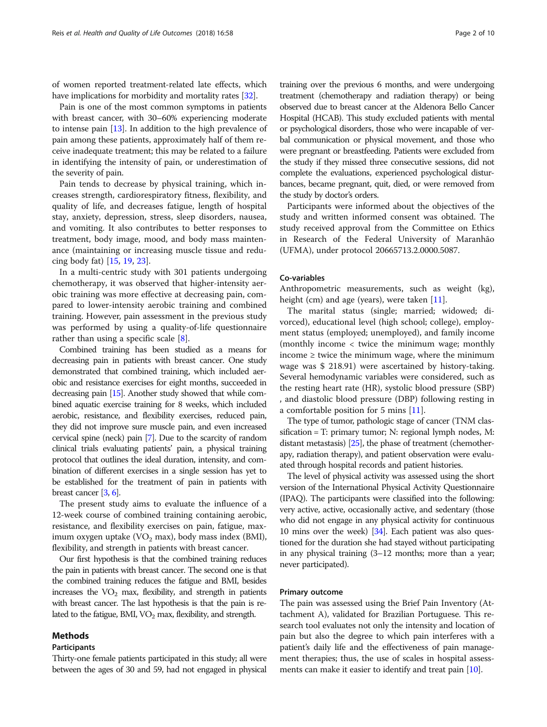of women reported treatment-related late effects, which have implications for morbidity and mortality rates [\[32\]](#page-9-0).

Pain is one of the most common symptoms in patients with breast cancer, with 30–60% experiencing moderate to intense pain [\[13\]](#page-8-0). In addition to the high prevalence of pain among these patients, approximately half of them receive inadequate treatment; this may be related to a failure in identifying the intensity of pain, or underestimation of the severity of pain.

Pain tends to decrease by physical training, which increases strength, cardiorespiratory fitness, flexibility, and quality of life, and decreases fatigue, length of hospital stay, anxiety, depression, stress, sleep disorders, nausea, and vomiting. It also contributes to better responses to treatment, body image, mood, and body mass maintenance (maintaining or increasing muscle tissue and reducing body fat) [\[15](#page-8-0), [19,](#page-8-0) [23\]](#page-9-0).

In a multi-centric study with 301 patients undergoing chemotherapy, it was observed that higher-intensity aerobic training was more effective at decreasing pain, compared to lower-intensity aerobic training and combined training. However, pain assessment in the previous study was performed by using a quality-of-life questionnaire rather than using a specific scale [[8](#page-8-0)].

Combined training has been studied as a means for decreasing pain in patients with breast cancer. One study demonstrated that combined training, which included aerobic and resistance exercises for eight months, succeeded in decreasing pain [\[15](#page-8-0)]. Another study showed that while combined aquatic exercise training for 8 weeks, which included aerobic, resistance, and flexibility exercises, reduced pain, they did not improve sure muscle pain, and even increased cervical spine (neck) pain [\[7](#page-8-0)]. Due to the scarcity of random clinical trials evaluating patients' pain, a physical training protocol that outlines the ideal duration, intensity, and combination of different exercises in a single session has yet to be established for the treatment of pain in patients with breast cancer [[3](#page-8-0), [6](#page-8-0)].

The present study aims to evaluate the influence of a 12-week course of combined training containing aerobic, resistance, and flexibility exercises on pain, fatigue, maximum oxygen uptake (VO<sub>2</sub> max), body mass index (BMI), flexibility, and strength in patients with breast cancer.

Our first hypothesis is that the combined training reduces the pain in patients with breast cancer. The second one is that the combined training reduces the fatigue and BMI, besides increases the  $VO<sub>2</sub>$  max, flexibility, and strength in patients with breast cancer. The last hypothesis is that the pain is related to the fatigue, BMI,  $VO<sub>2</sub>$  max, flexibility, and strength.

#### Methods

#### Participants

Thirty-one female patients participated in this study; all were between the ages of 30 and 59, had not engaged in physical

training over the previous 6 months, and were undergoing treatment (chemotherapy and radiation therapy) or being observed due to breast cancer at the Aldenora Bello Cancer Hospital (HCAB). This study excluded patients with mental or psychological disorders, those who were incapable of verbal communication or physical movement, and those who were pregnant or breastfeeding. Patients were excluded from the study if they missed three consecutive sessions, did not complete the evaluations, experienced psychological disturbances, became pregnant, quit, died, or were removed from the study by doctor's orders.

Participants were informed about the objectives of the study and written informed consent was obtained. The study received approval from the Committee on Ethics in Research of the Federal University of Maranhão (UFMA), under protocol 20665713.2.0000.5087.

#### Co-variables

Anthropometric measurements, such as weight (kg), height (cm) and age (years), were taken  $[11]$  $[11]$ .

The marital status (single; married; widowed; divorced), educational level (high school; college), employment status (employed; unemployed), and family income (monthly income < twice the minimum wage; monthly income ≥ twice the minimum wage, where the minimum wage was \$ 218.91) were ascertained by history-taking. Several hemodynamic variables were considered, such as the resting heart rate (HR), systolic blood pressure (SBP) , and diastolic blood pressure (DBP) following resting in a comfortable position for 5 mins [\[11](#page-8-0)].

The type of tumor, pathologic stage of cancer (TNM classification = T: primary tumor; N: regional lymph nodes, M: distant metastasis) [\[25\]](#page-9-0), the phase of treatment (chemotherapy, radiation therapy), and patient observation were evaluated through hospital records and patient histories.

The level of physical activity was assessed using the short version of the International Physical Activity Questionnaire (IPAQ). The participants were classified into the following: very active, active, occasionally active, and sedentary (those who did not engage in any physical activity for continuous 10 mins over the week) [[34](#page-9-0)]. Each patient was also questioned for the duration she had stayed without participating in any physical training (3–12 months; more than a year; never participated).

#### Primary outcome

The pain was assessed using the Brief Pain Inventory (Attachment A), validated for Brazilian Portuguese. This research tool evaluates not only the intensity and location of pain but also the degree to which pain interferes with a patient's daily life and the effectiveness of pain management therapies; thus, the use of scales in hospital assessments can make it easier to identify and treat pain [\[10\]](#page-8-0).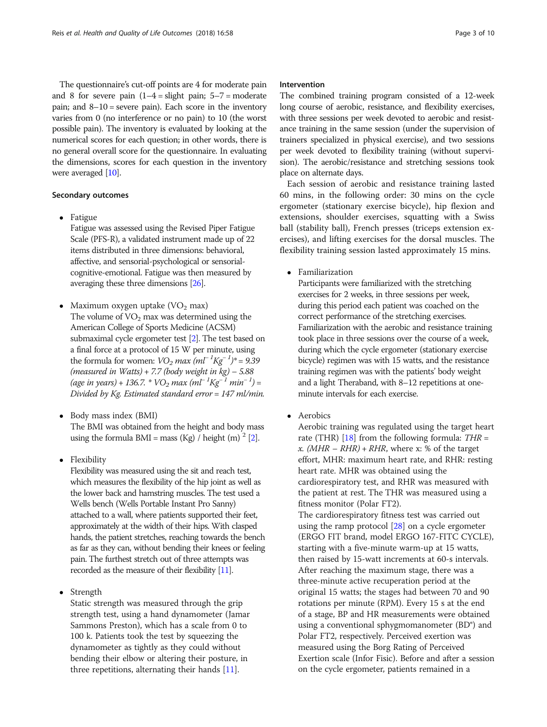The questionnaire's cut-off points are 4 for moderate pain and 8 for severe pain  $(1-4 =$  slight pain;  $5-7 =$  moderate pain; and 8–10 = severe pain). Each score in the inventory varies from 0 (no interference or no pain) to 10 (the worst possible pain). The inventory is evaluated by looking at the numerical scores for each question; in other words, there is no general overall score for the questionnaire. In evaluating the dimensions, scores for each question in the inventory were averaged [[10](#page-8-0)].

#### Secondary outcomes

• Fatigue

Fatigue was assessed using the Revised Piper Fatigue Scale (PFS-R), a validated instrument made up of 22 items distributed in three dimensions: behavioral, affective, and sensorial-psychological or sensorialcognitive-emotional. Fatigue was then measured by averaging these three dimensions [[26\]](#page-9-0).

- Maximum oxygen uptake  $(VO<sub>2</sub>$  max) The volume of  $VO<sub>2</sub>$  max was determined using the American College of Sports Medicine (ACSM) submaximal cycle ergometer test [[2](#page-8-0)]. The test based on a final force at a protocol of 15 W per minute, using the formula for women:  $VO_2$  max  $(ml^{-1}Kg^{-1})^* = 9.39$ (measured in Watts) + 7.7 (body weight in  $kg$ ) – 5.88 (age in years) + 136.7. \*  $VO_2$  max (ml<sup>-1</sup>Kg<sup>-1</sup> min<sup>-1</sup>) = Divided by Kg. Estimated standard error = 147 ml/min.
- Body mass index (BMI) The BMI was obtained from the height and body mass using the formula BMI = mass (Kg) / height (m)  $^{2}$  [\[2\]](#page-8-0).
- Flexibility

Flexibility was measured using the sit and reach test, which measures the flexibility of the hip joint as well as the lower back and hamstring muscles. The test used a Wells bench (Wells Portable Instant Pro Sanny) attached to a wall, where patients supported their feet, approximately at the width of their hips. With clasped hands, the patient stretches, reaching towards the bench as far as they can, without bending their knees or feeling pain. The furthest stretch out of three attempts was recorded as the measure of their flexibility [\[11](#page-8-0)].

• Strength

Static strength was measured through the grip strength test, using a hand dynamometer (Jamar Sammons Preston), which has a scale from 0 to 100 k. Patients took the test by squeezing the dynamometer as tightly as they could without bending their elbow or altering their posture, in three repetitions, alternating their hands [[11](#page-8-0)].

#### Intervention

The combined training program consisted of a 12-week long course of aerobic, resistance, and flexibility exercises, with three sessions per week devoted to aerobic and resistance training in the same session (under the supervision of trainers specialized in physical exercise), and two sessions per week devoted to flexibility training (without supervision). The aerobic/resistance and stretching sessions took place on alternate days.

Each session of aerobic and resistance training lasted 60 mins, in the following order: 30 mins on the cycle ergometer (stationary exercise bicycle), hip flexion and extensions, shoulder exercises, squatting with a Swiss ball (stability ball), French presses (triceps extension exercises), and lifting exercises for the dorsal muscles. The flexibility training session lasted approximately 15 mins.

Familiarization

Participants were familiarized with the stretching exercises for 2 weeks, in three sessions per week, during this period each patient was coached on the correct performance of the stretching exercises. Familiarization with the aerobic and resistance training took place in three sessions over the course of a week, during which the cycle ergometer (stationary exercise bicycle) regimen was with 15 watts, and the resistance training regimen was with the patients' body weight and a light Theraband, with 8–12 repetitions at oneminute intervals for each exercise.

• Aerobics

Aerobic training was regulated using the target heart rate (THR)  $[18]$  from the following formula: THR = x.  $(MHR - RHR) + RHR$ , where x: % of the target effort, MHR: maximum heart rate, and RHR: resting heart rate. MHR was obtained using the cardiorespiratory test, and RHR was measured with the patient at rest. The THR was measured using a fitness monitor (Polar FT2).

The cardiorespiratory fitness test was carried out using the ramp protocol [[28](#page-9-0)] on a cycle ergometer (ERGO FIT brand, model ERGO 167-FITC CYCLE), starting with a five-minute warm-up at 15 watts, then raised by 15-watt increments at 60-s intervals. After reaching the maximum stage, there was a three-minute active recuperation period at the original 15 watts; the stages had between 70 and 90 rotations per minute (RPM). Every 15 s at the end of a stage, BP and HR measurements were obtained using a conventional sphygmomanometer (BD®) and Polar FT2, respectively. Perceived exertion was measured using the Borg Rating of Perceived Exertion scale (Infor Fisic). Before and after a session on the cycle ergometer, patients remained in a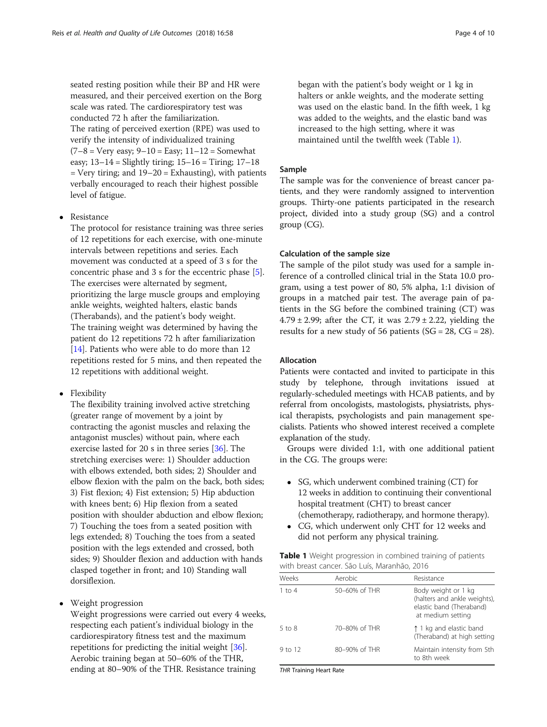seated resting position while their BP and HR were measured, and their perceived exertion on the Borg scale was rated. The cardiorespiratory test was conducted 72 h after the familiarization. The rating of perceived exertion (RPE) was used to verify the intensity of individualized training  $(7-8)$  = Very easy;  $9-10$  = Easy;  $11-12$  = Somewhat easy;  $13-14 =$  Slightly tiring;  $15-16 =$  Tiring;  $17-18$  $=$  Very tiring; and  $19-20 =$  Exhausting), with patients verbally encouraged to reach their highest possible level of fatigue.

#### • Resistance

The protocol for resistance training was three series of 12 repetitions for each exercise, with one-minute intervals between repetitions and series. Each movement was conducted at a speed of 3 s for the concentric phase and 3 s for the eccentric phase [[5\]](#page-8-0). The exercises were alternated by segment, prioritizing the large muscle groups and employing ankle weights, weighted halters, elastic bands (Therabands), and the patient's body weight. The training weight was determined by having the patient do 12 repetitions 72 h after familiarization [[14](#page-8-0)]. Patients who were able to do more than 12 repetitions rested for 5 mins, and then repeated the 12 repetitions with additional weight.

• Flexibility

The flexibility training involved active stretching (greater range of movement by a joint by contracting the agonist muscles and relaxing the antagonist muscles) without pain, where each exercise lasted for 20 s in three series [[36](#page-9-0)]. The stretching exercises were: 1) Shoulder adduction with elbows extended, both sides; 2) Shoulder and elbow flexion with the palm on the back, both sides; 3) Fist flexion; 4) Fist extension; 5) Hip abduction with knees bent; 6) Hip flexion from a seated position with shoulder abduction and elbow flexion; 7) Touching the toes from a seated position with legs extended; 8) Touching the toes from a seated position with the legs extended and crossed, both sides; 9) Shoulder flexion and adduction with hands clasped together in front; and 10) Standing wall dorsiflexion.

Weight progression

Weight progressions were carried out every 4 weeks, respecting each patient's individual biology in the cardiorespiratory fitness test and the maximum repetitions for predicting the initial weight [\[36\]](#page-9-0). Aerobic training began at 50–60% of the THR, ending at 80–90% of the THR. Resistance training

began with the patient's body weight or 1 kg in halters or ankle weights, and the moderate setting was used on the elastic band. In the fifth week, 1 kg was added to the weights, and the elastic band was increased to the high setting, where it was maintained until the twelfth week (Table 1).

#### Sample

The sample was for the convenience of breast cancer patients, and they were randomly assigned to intervention groups. Thirty-one patients participated in the research project, divided into a study group (SG) and a control group (CG).

#### Calculation of the sample size

The sample of the pilot study was used for a sample inference of a controlled clinical trial in the Stata 10.0 program, using a test power of 80, 5% alpha, 1:1 division of groups in a matched pair test. The average pain of patients in the SG before the combined training (CT) was  $4.79 \pm 2.99$ ; after the CT, it was  $2.79 \pm 2.22$ , yielding the results for a new study of 56 patients ( $SG = 28$ ,  $CG = 28$ ).

#### Allocation

Patients were contacted and invited to participate in this study by telephone, through invitations issued at regularly-scheduled meetings with HCAB patients, and by referral from oncologists, mastologists, physiatrists, physical therapists, psychologists and pain management specialists. Patients who showed interest received a complete explanation of the study.

Groups were divided 1:1, with one additional patient in the CG. The groups were:

- SG, which underwent combined training (CT) for 12 weeks in addition to continuing their conventional hospital treatment (CHT) to breast cancer (chemotherapy, radiotherapy, and hormone therapy).
- CG, which underwent only CHT for 12 weeks and did not perform any physical training.

|  |  |  | <b>Table 1</b> Weight progression in combined training of patients |  |  |  |  |  |
|--|--|--|--------------------------------------------------------------------|--|--|--|--|--|
|  |  |  | with breast cancer. São Luís, Maranhão, 2016                       |  |  |  |  |  |

| <b>Weeks</b> | Aerobic       | Resistance                                                                                           |
|--------------|---------------|------------------------------------------------------------------------------------------------------|
| $1$ to $4$   | 50-60% of THR | Body weight or 1 kg<br>(halters and ankle weights),<br>elastic band (Theraband)<br>at medium setting |
| $5$ to $8$   | 70-80% of THR | ↑ 1 kg and elastic band<br>(Theraband) at high setting                                               |
| 9 to 12      | 80-90% of THR | Maintain intensity from 5th<br>to 8th week                                                           |

THR Training Heart Rate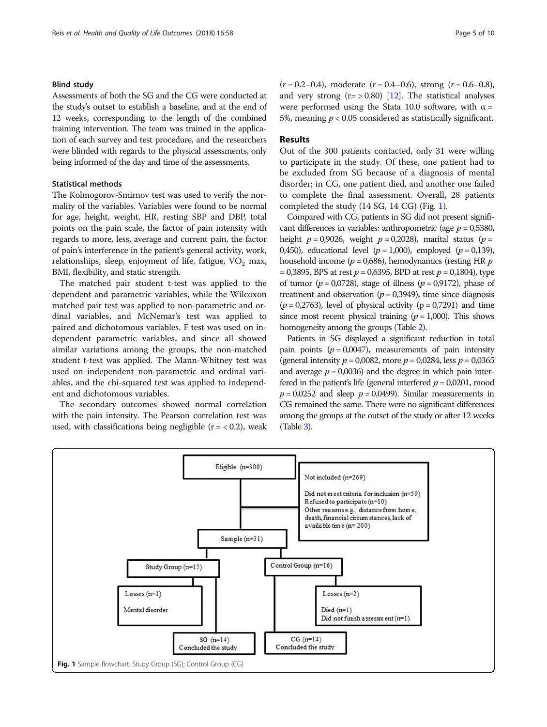#### Blind study

Assessments of both the SG and the CG were conducted at the study's outset to establish a baseline, and at the end of 12 weeks, corresponding to the length of the combined training intervention. The team was trained in the application of each survey and test procedure, and the researchers were blinded with regards to the physical assessments, only being informed of the day and time of the assessments.

#### Statistical methods

The Kolmogorov-Smirnov test was used to verify the normality of the variables. Variables were found to be normal for age, height, weight, HR, resting SBP and DBP, total points on the pain scale, the factor of pain intensity with regards to more, less, average and current pain, the factor of pain's interference in the patient's general activity, work, relationships, sleep, enjoyment of life, fatigue,  $VO<sub>2</sub>$  max, BMI, flexibility, and static strength.

The matched pair student t-test was applied to the dependent and parametric variables, while the Wilcoxon matched pair test was applied to non-parametric and ordinal variables, and McNemar's test was applied to paired and dichotomous variables. F test was used on independent parametric variables, and since all showed similar variations among the groups, the non-matched student t-test was applied. The Mann-Whitney test was used on independent non-parametric and ordinal variables, and the chi-squared test was applied to independent and dichotomous variables.

The secondary outcomes showed normal correlation with the pain intensity. The Pearson correlation test was used, with classifications being negligible  $(r = < 0.2)$ , weak

 $(r = 0.2 - 0.4)$ , moderate  $(r = 0.4 - 0.6)$ , strong  $(r = 0.6 - 0.8)$ , and very strong  $(r = > 0.80)$  [\[12\]](#page-8-0). The statistical analyses were performed using the Stata 10.0 software, with  $\alpha =$ 5%, meaning  $p < 0.05$  considered as statistically significant.

#### Results

Out of the 300 patients contacted, only 31 were willing to participate in the study. Of these, one patient had to be excluded from SG because of a diagnosis of mental disorder; in CG, one patient died, and another one failed to complete the final assessment. Overall, 28 patients completed the study (14 SG, 14 CG) (Fig. 1).

Compared with CG, patients in SG did not present significant differences in variables: anthropometric (age  $p = 0.5380$ , height  $p = 0.9026$ , weight  $p = 0.2028$ ), marital status ( $p = 0$ 0,450), educational level ( $p = 1,000$ ), employed ( $p = 0,139$ ), household income ( $p = 0.686$ ), hemodynamics (resting HR  $p$ )  $= 0,3895$ , BPS at rest  $p = 0,6395$ , BPD at rest  $p = 0,1804$ , type of tumor ( $p = 0.0728$ ), stage of illness ( $p = 0.9172$ ), phase of treatment and observation ( $p = 0,3949$ ), time since diagnosis  $(p = 0.2763)$ , level of physical activity  $(p = 0.7291)$  and time since most recent physical training  $(p = 1,000)$ . This shows homogeneity among the groups (Table [2](#page-5-0)).

Patients in SG displayed a significant reduction in total pain points  $(p = 0.0047)$ , measurements of pain intensity (general intensity  $p = 0.0082$ , more  $p = 0.0284$ , less  $p = 0.0365$ and average  $p = 0.0036$ ) and the degree in which pain interfered in the patient's life (general interfered  $p = 0.0201$ , mood  $p = 0.0252$  and sleep  $p = 0.0499$ . Similar measurements in CG remained the same. There were no significant differences among the groups at the outset of the study or after 12 weeks (Table [3\)](#page-6-0).

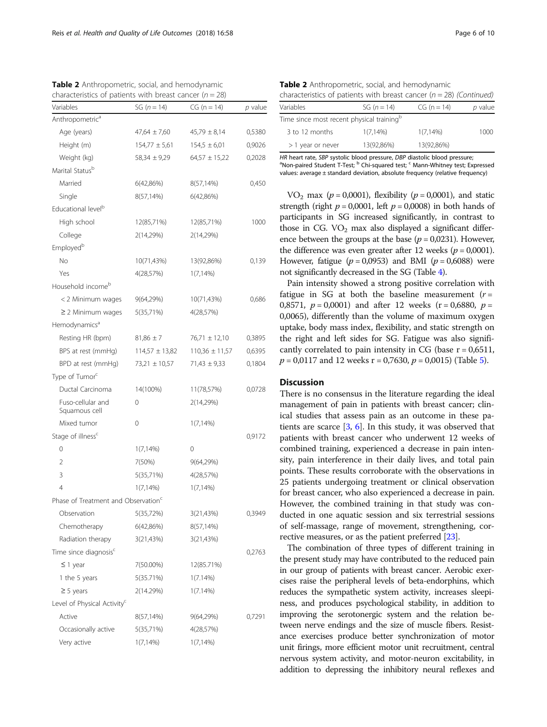<span id="page-5-0"></span>

| Table 2 Anthropometric, social, and hemodynamic             |  |
|-------------------------------------------------------------|--|
| characteristics of patients with breast cancer ( $n = 28$ ) |  |

| Variables                                       | SG $(n = 14)$      | $CG (n = 14)$      | $p$ value |
|-------------------------------------------------|--------------------|--------------------|-----------|
| Anthropometric <sup>a</sup>                     |                    |                    |           |
| Age (years)                                     | $47,64 \pm 7,60$   | $45,79 \pm 8,14$   | 0,5380    |
| Height (m)                                      | $154,77 \pm 5,61$  | $154.5 \pm 6.01$   | 0,9026    |
| Weight (kg)                                     | $58,34 \pm 9,29$   | $64,57 \pm 15,22$  | 0,2028    |
| Marital Statusb                                 |                    |                    |           |
| Married                                         | 6(42,86%)          | 8(57,14%)          | 0,450     |
| Single                                          | 8(57,14%)          | 6(42,86%)          |           |
| Educational level <sup>b</sup>                  |                    |                    |           |
| High school                                     | 12(85,71%)         | 12(85,71%)         | 1000      |
| College                                         | 2(14,29%)          | 2(14,29%)          |           |
| Employed <sup>b</sup>                           |                    |                    |           |
| No                                              | 10(71,43%)         | 13(92,86%)         | 0,139     |
| Yes                                             | 4(28,57%)          | $1(7, 14\%)$       |           |
| Household income <sup>b</sup>                   |                    |                    |           |
| < 2 Minimum wages                               | 9(64,29%)          | 10(71,43%)         | 0,686     |
| $\geq$ 2 Minimum wages                          | 5(35,71%)          | 4(28,57%)          |           |
| Hemodynamics <sup>a</sup>                       |                    |                    |           |
| Resting HR (bpm)                                | $81,86 \pm 7$      | $76,71 \pm 12,10$  | 0,3895    |
| BPS at rest (mmHg)                              | $114,57 \pm 13,82$ | $110,36 \pm 11,57$ | 0,6395    |
| BPD at rest (mmHg)                              | $73,21 \pm 10,57$  | 71,43 ± 9,33       | 0,1804    |
| Type of Tumor <sup>c</sup>                      |                    |                    |           |
| Ductal Carcinoma                                | 14(100%)           | 11(78,57%)         | 0,0728    |
| Fuso-cellular and<br>Squamous cell              | 0                  | 2(14,29%)          |           |
| Mixed tumor                                     | 0                  | $1(7, 14\%)$       |           |
| Stage of illness <sup>c</sup>                   |                    |                    | 0,9172    |
| 0                                               | $1(7,14\%)$        | 0                  |           |
| 2                                               | 7(50%)             | 9(64,29%)          |           |
| 3                                               | 5(35,71%)          | 4(28,57%)          |           |
| 4                                               | $1(7,14\%)$        | $1(7, 14\%)$       |           |
| Phase of Treatment and Observation <sup>c</sup> |                    |                    |           |
| Observation                                     | 5(35,72%)          | 3(21,43%)          | 0,3949    |
| Chemotherapy                                    | 6(42,86%)          | 8(57,14%)          |           |
| Radiation therapy                               | 3(21,43%)          | 3(21,43%)          |           |
| Time since diagnosis <sup>c</sup>               |                    |                    | 0,2763    |
| $\leq$ 1 year                                   | 7(50.00%)          | 12(85.71%)         |           |
| 1 the 5 years                                   | 5(35.71%)          | $1(7.14\%)$        |           |
| $\geq$ 5 years                                  | 2(14.29%)          | $1(7.14\%)$        |           |
| Level of Physical Activity <sup>c</sup>         |                    |                    |           |
| Active                                          | 8(57,14%)          | 9(64,29%)          | 0,7291    |
| Occasionally active                             | 5(35,71%)          | 4(28,57%)          |           |
| Very active                                     | 1(7,14%)           | $1(7, 14\%)$       |           |

| <b>Table 2</b> Anthropometric, social, and hemodynamic                  |
|-------------------------------------------------------------------------|
| characteristics of patients with breast cancer ( $n = 28$ ) (Continued) |

|           | characteristics or patients with prease cancer $y_1 = z_0$ (committed) |               |         |
|-----------|------------------------------------------------------------------------|---------------|---------|
| Variables | SG $(n = 14)$                                                          | $CG (n = 14)$ | p value |

|                                                       |             |             | <u>D</u> vuid |
|-------------------------------------------------------|-------------|-------------|---------------|
| Time since most recent physical training <sup>p</sup> |             |             |               |
| 3 to 12 months                                        | $1(7.14\%)$ | $1(7.14\%)$ | 1000          |
| $>1$ year or never                                    | 13(92.86%)  | 13(92,86%)  |               |

HR heart rate, SBP systolic blood pressure, DBP diastolic blood pressure; <sup>a</sup>Non-paired Student T-Test; <sup>b</sup> Chi-squared test; <sup>c</sup> Mann-Whitney test; Expressed values: average ± standard deviation, absolute frequency (relative frequency)

VO<sub>2</sub> max ( $p = 0,0001$ ), flexibility ( $p = 0,0001$ ), and static strength (right  $p = 0,0001$ , left  $p = 0,0008$ ) in both hands of participants in SG increased significantly, in contrast to those in CG.  $VO<sub>2</sub>$  max also displayed a significant difference between the groups at the base ( $p = 0.0231$ ). However, the difference was even greater after 12 weeks ( $p = 0.0001$ ). However, fatigue ( $p = 0.0953$ ) and BMI ( $p = 0.6088$ ) were not significantly decreased in the SG (Table [4\)](#page-6-0).

Pain intensity showed a strong positive correlation with fatigue in SG at both the baseline measurement  $(r =$ 0,8571,  $p = 0,0001$ ) and after 12 weeks (r = 0,6880,  $p =$ 0,0065), differently than the volume of maximum oxygen uptake, body mass index, flexibility, and static strength on the right and left sides for SG. Fatigue was also significantly correlated to pain intensity in CG (base  $r = 0.6511$ ,  $p = 0.0117$  and 12 weeks  $r = 0.7630$ ,  $p = 0.0015$  $p = 0.0015$ ) (Table 5).

#### **Discussion**

There is no consensus in the literature regarding the ideal management of pain in patients with breast cancer; clinical studies that assess pain as an outcome in these patients are scarce [[3](#page-8-0), [6\]](#page-8-0). In this study, it was observed that patients with breast cancer who underwent 12 weeks of combined training, experienced a decrease in pain intensity, pain interference in their daily lives, and total pain points. These results corroborate with the observations in 25 patients undergoing treatment or clinical observation for breast cancer, who also experienced a decrease in pain. However, the combined training in that study was conducted in one aquatic session and six terrestrial sessions of self-massage, range of movement, strengthening, corrective measures, or as the patient preferred [\[23\]](#page-9-0).

The combination of three types of different training in the present study may have contributed to the reduced pain in our group of patients with breast cancer. Aerobic exercises raise the peripheral levels of beta-endorphins, which reduces the sympathetic system activity, increases sleepiness, and produces psychological stability, in addition to improving the serotonergic system and the relation between nerve endings and the size of muscle fibers. Resistance exercises produce better synchronization of motor unit firings, more efficient motor unit recruitment, central nervous system activity, and motor-neuron excitability, in addition to depressing the inhibitory neural reflexes and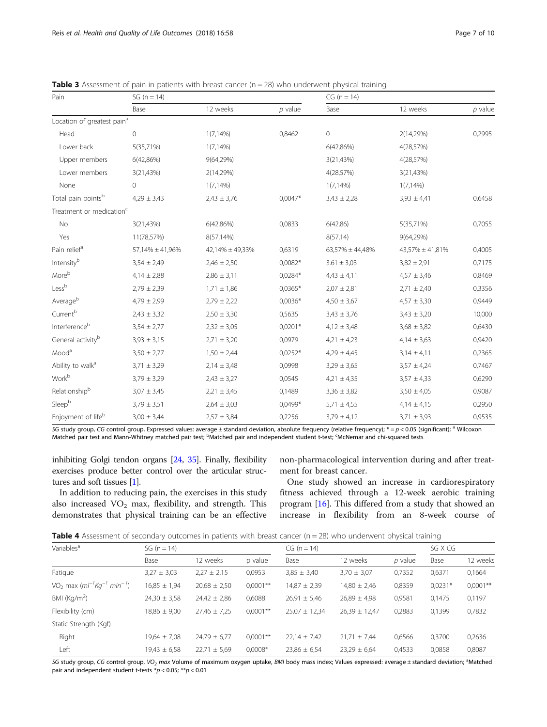| Pain                                   | SG $(n = 14)$   |                 |           | $CG (n = 14)$   |                 |           |
|----------------------------------------|-----------------|-----------------|-----------|-----------------|-----------------|-----------|
|                                        | Base            | 12 weeks        | $p$ value | Base            | 12 weeks        | $p$ value |
| Location of greatest pain <sup>a</sup> |                 |                 |           |                 |                 |           |
| Head                                   | 0               | $1(7,14\%)$     | 0,8462    | $\mathbf 0$     | 2(14,29%)       | 0,2995    |
| Lower back                             | 5(35,71%)       | $1(7,14\%)$     |           | 6(42,86%)       | 4(28,57%)       |           |
| Upper members                          | 6(42,86%)       | 9(64,29%)       |           | 3(21,43%)       | 4(28,57%)       |           |
| Lower members                          | 3(21,43%)       | 2(14,29%)       |           | 4(28,57%)       | 3(21,43%)       |           |
| None                                   | 0               | $1(7,14\%)$     |           | $1(7,14\%)$     | $1(7,14\%)$     |           |
| Total pain points <sup>b</sup>         | $4,29 \pm 3,43$ | $2,43 \pm 3,76$ | $0,0047*$ | $3,43 \pm 2,28$ | $3,93 \pm 4,41$ | 0,6458    |
| Treatment or medication <sup>c</sup>   |                 |                 |           |                 |                 |           |
| No                                     | 3(21,43%)       | 6(42,86%)       | 0,0833    | 6(42,86)        | 5(35,71%)       | 0,7055    |
| Yes                                    | 11(78,57%)      | 8(57,14%)       |           | 8(57, 14)       | 9(64,29%)       |           |
| Pain relief <sup>a</sup>               | 57,14% ± 41,96% | 42,14% ± 49,33% | 0,6319    | 63,57% ± 44,48% | 43,57% ± 41,81% | 0,4005    |
| Intensityb                             | $3,54 \pm 2,49$ | $2,46 \pm 2,50$ | $0,0082*$ | $3.61 \pm 3.03$ | $3,82 \pm 2,91$ | 0,7175    |
| Moreb                                  | $4,14 \pm 2,88$ | $2,86 \pm 3,11$ | $0,0284*$ | $4,43 \pm 4,11$ | $4,57 \pm 3,46$ | 0,8469    |
| Lessb                                  | $2,79 \pm 2,39$ | $1,71 \pm 1,86$ | $0,0365*$ | $2,07 \pm 2,81$ | $2,71 \pm 2,40$ | 0,3356    |
| Averageb                               | $4,79 \pm 2,99$ | $2,79 \pm 2,22$ | $0,0036*$ | $4,50 \pm 3,67$ | $4,57 \pm 3,30$ | 0,9449    |
| Current <sup>b</sup>                   | $2,43 \pm 3,32$ | $2,50 \pm 3,30$ | 0,5635    | $3,43 \pm 3,76$ | $3,43 \pm 3,20$ | 10,000    |
| Interferenceb                          | $3,54 \pm 2,77$ | $2,32 \pm 3,05$ | $0,0201*$ | $4,12 \pm 3,48$ | $3,68 \pm 3,82$ | 0,6430    |
| General activity <sup>b</sup>          | $3,93 \pm 3,15$ | $2,71 \pm 3,20$ | 0,0979    | $4,21 \pm 4,23$ | $4,14 \pm 3,63$ | 0,9420    |
| Mood <sup>a</sup>                      | $3,50 \pm 2,77$ | $1,50 \pm 2,44$ | $0,0252*$ | $4,29 \pm 4,45$ | $3,14 \pm 4,11$ | 0,2365    |
| Ability to walk <sup>a</sup>           | $3,71 \pm 3,29$ | $2,14 \pm 3,48$ | 0,0998    | $3,29 \pm 3,65$ | $3,57 \pm 4,24$ | 0,7467    |
| Work <sup>b</sup>                      | $3,79 \pm 3,29$ | $2,43 \pm 3,27$ | 0,0545    | $4,21 \pm 4,35$ | $3,57 \pm 4,33$ | 0,6290    |
| Relationshipb                          | $3,07 \pm 3,45$ | $2,21 \pm 3,45$ | 0,1489    | $3,36 \pm 3,82$ | $3,50 \pm 4,05$ | 0,9087    |
| Sleepb                                 | $3,79 \pm 3,51$ | $2,64 \pm 3,03$ | $0,0499*$ | $5.71 \pm 4.55$ | $4,14 \pm 4,15$ | 0,2950    |
| Enjoyment of life <sup>b</sup>         | $3,00 \pm 3,44$ | $2,57 \pm 3,84$ | 0,2256    | $3,79 \pm 4,12$ | $3,71 \pm 3,93$ | 0,9535    |

<span id="page-6-0"></span>**Table 3** Assessment of pain in patients with breast cancer ( $n = 28$ ) who underwent physical training

SG study group, CG control group, Expressed values: average ± standard deviation, absolute frequency (relative frequency);  $* = p < 0.05$  (significant); a Wilcoxon Matched pair test and Mann-Whitney matched pair test; <sup>b</sup>Matched pair and independent student t-test; <sup>c</sup>McNemar and chi-squared tests

inhibiting Golgi tendon organs [[24](#page-9-0), [35\]](#page-9-0). Finally, flexibility exercises produce better control over the articular structures and soft tissues [[1](#page-8-0)].

In addition to reducing pain, the exercises in this study also increased  $VO<sub>2</sub>$  max, flexibility, and strength. This demonstrates that physical training can be an effective non-pharmacological intervention during and after treatment for breast cancer.

One study showed an increase in cardiorespiratory fitness achieved through a 12-week aerobic training program [\[16\]](#page-8-0). This differed from a study that showed an increase in flexibility from an 8-week course of

| <b>Table 4</b> Assessment of secondary outcomes in patients with breast cancer ( $n = 28$ ) who underwent physical training |  |
|-----------------------------------------------------------------------------------------------------------------------------|--|
|-----------------------------------------------------------------------------------------------------------------------------|--|

| Variables <sup>a</sup>                          | SG ( $n = 14$ )  |                  | $CG (n = 14)$ | SG X CG           |                   |           |           |            |
|-------------------------------------------------|------------------|------------------|---------------|-------------------|-------------------|-----------|-----------|------------|
|                                                 | Base             | 12 weeks         | p value       | Base              | 12 weeks          | $p$ value | Base      | 12 weeks   |
| Fatigue                                         | $3,27 \pm 3,03$  | $2,27 \pm 2,15$  | 0,0953        | $3,85 \pm 3,40$   | $3,70 \pm 3,07$   | 0,7352    | 0,6371    | 0,1664     |
| $VO2$ max $(ml^{-1}Kq^{-1}$ min <sup>-1</sup> ) | $16,85 \pm 1,94$ | $20,68 \pm 2,50$ | $0,0001**$    | $14,87 \pm 2,39$  | $14,80 \pm 2,46$  | 0,8359    | $0.0231*$ | $0,0001**$ |
| BMI ( $\text{Kg/m}^2$ )                         | $24,30 \pm 3,58$ | $24,42 \pm 2,86$ | 0,6088        | $26.91 \pm 5.46$  | $26,89 \pm 4,98$  | 0,9581    | 0,1475    | 0,1197     |
| Flexibility (cm)                                | $18,86 \pm 9,00$ | $27,46 \pm 7,25$ | $0,0001**$    | $25,07 \pm 12,34$ | $26,39 \pm 12,47$ | 0,2883    | 0,1399    | 0,7832     |
| Static Strength (Kgf)                           |                  |                  |               |                   |                   |           |           |            |
| Right                                           | $19,64 \pm 7,08$ | $24,79 \pm 6,77$ | $0,0001**$    | $22,14 \pm 7,42$  | $21,71 \pm 7,44$  | 0,6566    | 0,3700    | 0,2636     |
| ∟eft                                            | $19,43 \pm 6,58$ | $22,71 \pm 5,69$ | $0,0008*$     | $23,86 \pm 6,54$  | $23,29 \pm 6,64$  | 0,4533    | 0,0858    | 0,8087     |
|                                                 |                  |                  |               |                   |                   |           |           |            |

SG study group, CG control group, VO<sub>2</sub> max Volume of maximum oxygen uptake, BMI body mass index; Values expressed: average ± standard deviation; <sup>a</sup>Matched pair and independent student t-tests \*p < 0.05; \*\*p < 0.01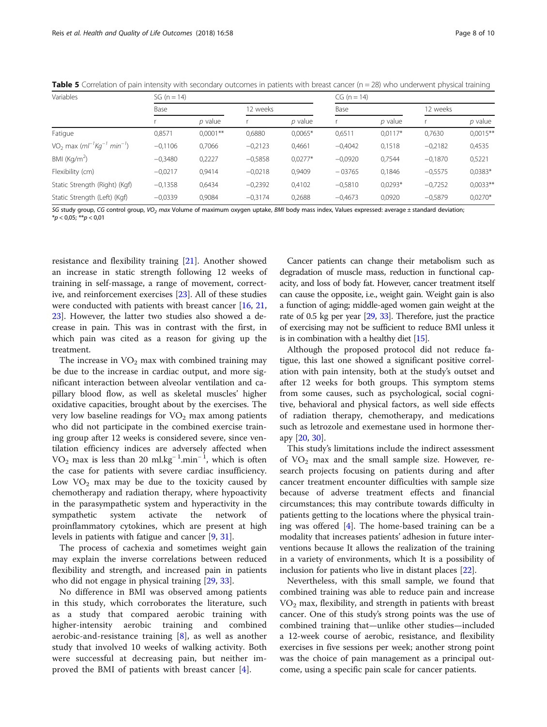| Variables                                       | SG $(n = 14)$ |             |           |           | $CG (n = 14)$ |           |           |             |  |
|-------------------------------------------------|---------------|-------------|-----------|-----------|---------------|-----------|-----------|-------------|--|
|                                                 | Base          |             | 12 weeks  |           | Base          |           | 12 weeks  |             |  |
|                                                 |               | p value     |           | $p$ value |               | $p$ value |           | $p$ value   |  |
| Fatigue                                         | 0,8571        | $0,0001$ ** | 0,6880    | $0,0065*$ | 0,6511        | $0.0117*$ | 0,7630    | $0,0015***$ |  |
| $VO2$ max $(ml^{-1}Kq^{-1}$ min <sup>-1</sup> ) | $-0,1106$     | 0,7066      | $-0,2123$ | 0,4661    | $-0,4042$     | 0,1518    | $-0,2182$ | 0,4535      |  |
| BMI ( $\text{Kg/m}^2$ )                         | $-0,3480$     | 0,2227      | $-0,5858$ | $0.0277*$ | $-0.0920$     | 0,7544    | $-0,1870$ | 0,5221      |  |
| Flexibility (cm)                                | $-0,0217$     | 0,9414      | $-0,0218$ | 0,9409    | $-03765$      | 0,1846    | $-0,5575$ | $0.0383*$   |  |
| Static Strength (Right) (Kgf)                   | $-0,1358$     | 0,6434      | $-0,2392$ | 0,4102    | $-0,5810$     | $0,0293*$ | $-0,7252$ | $0,0033**$  |  |
| Static Strength (Left) (Kgf)                    | $-0,0339$     | 0,9084      | $-0,3174$ | 0,2688    | $-0,4673$     | 0,0920    | $-0,5879$ | $0.0270*$   |  |

<span id="page-7-0"></span>**Table 5** Correlation of pain intensity with secondary outcomes in patients with breast cancer ( $n = 28$ ) who underwent physical training

SG study group, CG control group, VO<sub>2</sub> max Volume of maximum oxygen uptake, BMI body mass index, Values expressed: average ± standard deviation;  $**p* < 0.05; ***p* < 0.01$ 

resistance and flexibility training [[21\]](#page-9-0). Another showed an increase in static strength following 12 weeks of training in self-massage, a range of movement, corrective, and reinforcement exercises [\[23](#page-9-0)]. All of these studies were conducted with patients with breast cancer [\[16](#page-8-0), [21](#page-9-0), [23\]](#page-9-0). However, the latter two studies also showed a decrease in pain. This was in contrast with the first, in which pain was cited as a reason for giving up the treatment.

The increase in  $VO<sub>2</sub>$  max with combined training may be due to the increase in cardiac output, and more significant interaction between alveolar ventilation and capillary blood flow, as well as skeletal muscles' higher oxidative capacities, brought about by the exercises. The very low baseline readings for  $VO<sub>2</sub>$  max among patients who did not participate in the combined exercise training group after 12 weeks is considered severe, since ventilation efficiency indices are adversely affected when VO<sub>2</sub> max is less than 20 ml.kg<sup>-1</sup>.min<sup>-1</sup>, which is often the case for patients with severe cardiac insufficiency. Low  $VO<sub>2</sub>$  max may be due to the toxicity caused by chemotherapy and radiation therapy, where hypoactivity in the parasympathetic system and hyperactivity in the sympathetic system activate the network of proinflammatory cytokines, which are present at high levels in patients with fatigue and cancer [[9,](#page-8-0) [31\]](#page-9-0).

The process of cachexia and sometimes weight gain may explain the inverse correlations between reduced flexibility and strength, and increased pain in patients who did not engage in physical training [[29,](#page-9-0) [33\]](#page-9-0).

No difference in BMI was observed among patients in this study, which corroborates the literature, such as a study that compared aerobic training with higher-intensity aerobic training and combined aerobic-and-resistance training  $[8]$  $[8]$ , as well as another study that involved 10 weeks of walking activity. Both were successful at decreasing pain, but neither improved the BMI of patients with breast cancer [\[4](#page-8-0)].

Cancer patients can change their metabolism such as degradation of muscle mass, reduction in functional capacity, and loss of body fat. However, cancer treatment itself can cause the opposite, i.e., weight gain. Weight gain is also a function of aging; middle-aged women gain weight at the rate of 0.5 kg per year [\[29](#page-9-0), [33](#page-9-0)]. Therefore, just the practice of exercising may not be sufficient to reduce BMI unless it is in combination with a healthy diet [\[15\]](#page-8-0).

Although the proposed protocol did not reduce fatigue, this last one showed a significant positive correlation with pain intensity, both at the study's outset and after 12 weeks for both groups. This symptom stems from some causes, such as psychological, social cognitive, behavioral and physical factors, as well side effects of radiation therapy, chemotherapy, and medications such as letrozole and exemestane used in hormone therapy [[20,](#page-8-0) [30\]](#page-9-0).

This study's limitations include the indirect assessment of  $VO<sub>2</sub>$  max and the small sample size. However, research projects focusing on patients during and after cancer treatment encounter difficulties with sample size because of adverse treatment effects and financial circumstances; this may contribute towards difficulty in patients getting to the locations where the physical training was offered [[4\]](#page-8-0). The home-based training can be a modality that increases patients' adhesion in future interventions because It allows the realization of the training in a variety of environments, which It is a possibility of inclusion for patients who live in distant places [\[22\]](#page-9-0).

Nevertheless, with this small sample, we found that combined training was able to reduce pain and increase  $VO<sub>2</sub>$  max, flexibility, and strength in patients with breast cancer. One of this study's strong points was the use of combined training that—unlike other studies—included a 12-week course of aerobic, resistance, and flexibility exercises in five sessions per week; another strong point was the choice of pain management as a principal outcome, using a specific pain scale for cancer patients.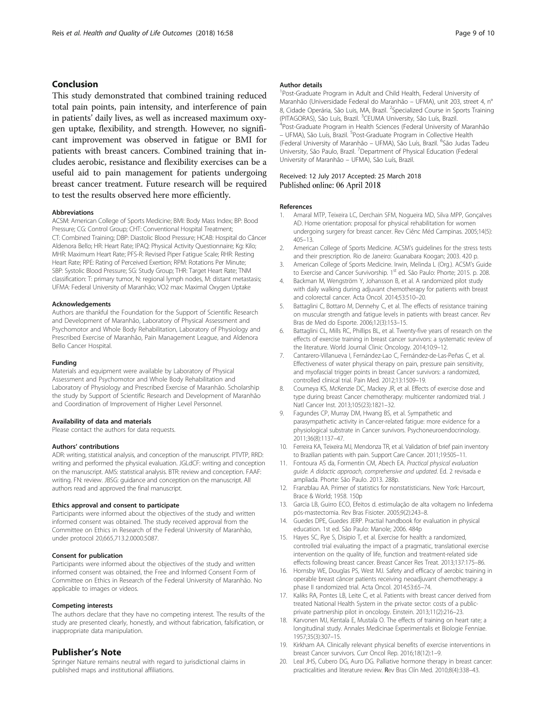#### <span id="page-8-0"></span>Conclusion

This study demonstrated that combined training reduced total pain points, pain intensity, and interference of pain in patients' daily lives, as well as increased maximum oxygen uptake, flexibility, and strength. However, no significant improvement was observed in fatigue or BMI for patients with breast cancers. Combined training that includes aerobic, resistance and flexibility exercises can be a useful aid to pain management for patients undergoing breast cancer treatment. Future research will be required to test the results observed here more efficiently.

#### Abbreviations

ACSM: American College of Sports Medicine; BMI: Body Mass Index; BP: Bood Pressure; CG: Control Group; CHT: Conventional Hospital Treatment; CT: Combined Training; DBP: Diastolic Blood Pressure; HCAB: Hospital do Câncer Aldenora Bello; HR: Heart Rate; IPAQ: Physical Activity Questionnaire; Kg: Kilo; MHR: Maximum Heart Rate; PFS-R: Revised Piper Fatigue Scale; RHR: Resting Heart Rate; RPE: Rating of Perceived Exertion; RPM: Rotations Per Minute; SBP: Systolic Blood Pressure; SG: Study Group; THR: Target Heart Rate; TNM classification: T: primary tumor, N: regional lymph nodes, M: distant metastasis; UFMA: Federal University of Maranhão; VO2 max: Maximal Oxygen Uptake

#### Acknowledgements

Authors are thankful the Foundation for the Support of Scientific Research and Development of Maranhão, Laboratory of Physical Assessment and Psychomotor and Whole Body Rehabilitation, Laboratory of Physiology and Prescribed Exercise of Maranhão, Pain Management League, and Aldenora Bello Cancer Hospital.

#### Funding

Materials and equipment were available by Laboratory of Physical Assessment and Psychomotor and Whole Body Rehabilitation and Laboratory of Physiology and Prescribed Exercise of Maranhão. Scholarship the study by Support of Scientific Research and Development of Maranhão and Coordination of Improvement of Higher Level Personnel.

#### Availability of data and materials

Please contact the authors for data requests.

#### Authors' contributions

ADR: writing, statistical analysis, and conception of the manuscript. PTVTP, RRD: writing and performed the physical evaluation. JGLdCF: writing and conception on the manuscript. AMS: statistical analysis. BTR: review and conception. FAAF: writing. FN: review. JBSG: guidance and conception on the manuscript. All authors read and approved the final manuscript.

#### Ethics approval and consent to participate

Participants were informed about the objectives of the study and written informed consent was obtained. The study received approval from the Committee on Ethics in Research of the Federal University of Maranhão, under protocol 20,665,713.2.0000.5087.

#### Consent for publication

Participants were informed about the objectives of the study and written informed consent was obtained, the Free and Informed Consent Form of Committee on Ethics in Research of the Federal University of Maranhão. No applicable to images or videos.

#### Competing interests

The authors declare that they have no competing interest. The results of the study are presented clearly, honestly, and without fabrication, falsification, or inappropriate data manipulation.

#### Publisher's Note

Springer Nature remains neutral with regard to jurisdictional claims in published maps and institutional affiliations.

#### Author details

<sup>1</sup>Post-Graduate Program in Adult and Child Health, Federal University of Maranhão (Universidade Federal do Maranhão – UFMA), unit 203, street 4, n° 8, Cidade Operária, São Luis, MA, Brazil. <sup>2</sup>Specialized Course in Sports Training (PITAGORAS), São Luís, Brazil. <sup>3</sup>CEUMA University, São Luís, Brazil.<br><sup>4</sup>Post-Graduate Program in Health Sciences (Eederal University o Post-Graduate Program in Health Sciences (Federal University of Maranhão - UFMA), São Luís, Brazil. <sup>5</sup>Post-Graduate Program in Collective Health (Federal University of Maranhão - UFMA), São Luís, Brazil. <sup>6</sup>São Judas Tadeu University, São Paulo, Brazil. <sup>7</sup> Department of Physical Education (Federal University of Maranhão – UFMA), São Luís, Brazil.

## Received: 12 July 2017 Accepted: 25 March 2018<br>Published online: 06 April 2018

#### References

- 1. Amaral MTP, Teixeira LC, Derchain SFM, Nogueira MD, Silva MPP, Gonçalves AD. Home orientation: proposal for physical rehabilitation for women undergoing surgery for breast cancer. Rev Ciênc Méd Campinas. 2005;14(5): 405–13.
- 2. American College of Sports Medicine. ACSM's guidelines for the stress tests and their prescription. Rio de Janeiro: Guanabara Koogan; 2003. 420 p.
- 3. American College of Sports Medicine. Irwin, Melinda L (Org.). ACSM's Guide to Exercise and Cancer Survivorship. 1<sup>st</sup> ed. São Paulo: Phorte; 2015. p. 208.
- 4. Backman M, Wengström Y, Johansson B, et al. A randomized pilot study with daily walking during adjuvant chemotherapy for patients with breast and colorectal cancer. Acta Oncol. 2014;53:510–20.
- 5. Battaglini C, Bottaro M, Dennehy C, et al. The effects of resistance training on muscular strength and fatigue levels in patients with breast cancer. Rev Bras de Med do Esporte. 2006;12(3):153–15.
- 6. Battaglini CL, Mills RC, Phillips BL, et al. Twenty-five years of research on the effects of exercise training in breast cancer survivors: a systematic review of the literature. World Journal Clinic Oncology. 2014;10:9–12.
- 7. Cantarero-Villanueva I, Fernández-Lao C, Fernández-de-Las-Peñas C, et al. Effectiveness of water physical therapy on pain, pressure pain sensitivity, and myofascial trigger points in breast Cancer survivors: a randomized, controlled clinical trial. Pain Med. 2012;13:1509–19.
- 8. Courneya KS, McKenzie DC, Mackey JR, et al. Effects of exercise dose and type during breast Cancer chemotherapy: multicenter randomized trial. J Natl Cancer Inst. 2013;105(23):1821–32.
- 9. Fagundes CP, Murray DM, Hwang BS, et al. Sympathetic and parasympathetic activity in Cancer-related fatigue: more evidence for a physiological substrate in Cancer survivors. Psychoneuroendocrinology. 2011;36(8):1137–47.
- 10. Ferreira KA, Teixeira MJ, Mendonza TR, et al. Validation of brief pain inventory to Brazilian patients with pain. Support Care Cancer. 2011;19:505–11.
- 11. Fontoura AS da, Formentin CM, Abech EA. Practical physical evaluation guide. A didactic approach, comprehensive and updated. Ed. 2 revisada e ampliada. Phorte: São Paulo. 2013. 288p.
- 12. Franzblau AA. Primer of statistics for nonstatisticians. New York: Harcourt, Brace & World; 1958. 150p
- 13. Garcia LB, Guirro ECO, Efeitos d. estimulação de alta voltagem no linfedema pós-mastectomia. Rev Bras Fisioter. 2005;9(2):243–8.
- 14. Guedes DPE, Guedes JERP. Practial handbook for evaluation in physical education. 1st ed. São Paulo: Manole; 2006. 484p
- 15. Hayes SC, Rye S, Disipio T, et al. Exercise for health: a randomized, controlled trial evaluating the impact of a pragmatic, translational exercise intervention on the quality of life, function and treatment-related side effects following breast cancer. Breast Cancer Res Treat. 2013;137:175–86.
- 16. Hornsby WE, Douglas PS, West MJ. Safety and efficacy of aerobic training in operable breast câncer patients receiving neoadjuvant chemotherapy: a phase II randomized trial. Acta Oncol. 2014;53:65–74.
- 17. Kaliks RA, Pontes LB, Leite C, et al. Patients with breast cancer derived from treated National Health System in the private sector: costs of a publicprivate partnership pilot in oncology. Einstein. 2013;11(2):216–23.
- 18. Karvonen MJ, Kentala E, Mustala O. The effects of training on heart rate; a longitudinal study. Annales Medicinae Experimentalis et Biologie Fenniae. 1957;35(3):307–15.
- 19. Kirkham AA. Clinically relevant physical benefits of exercise interventions in breast Cancer survivors. Curr Oncol Rep. 2016;18(12):1–9.
- 20. Leal JHS, Cubero DG, Auro DG. Palliative hormone therapy in breast cancer: practicalities and literature review. Rev Bras Clín Med. 2010;8(4):338–43.